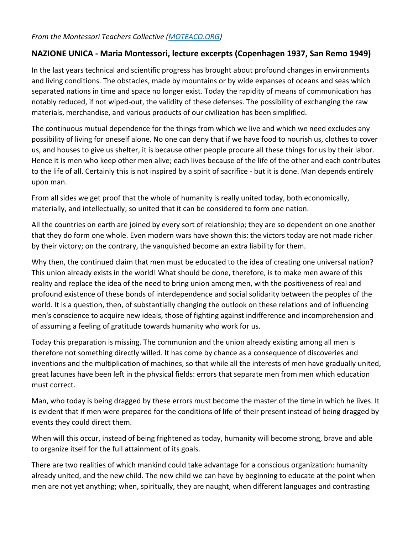## *From the Montessori Teachers Collective [\(MOTEACO.ORG\)](https://moteaco.org/)*

## **NAZIONE UNICA - Maria Montessori, lecture excerpts (Copenhagen 1937, San Remo 1949)**

In the last years technical and scientific progress has brought about profound changes in environments and living conditions. The obstacles, made by mountains or by wide expanses of oceans and seas which separated nations in time and space no longer exist. Today the rapidity of means of communication has notably reduced, if not wiped-out, the validity of these defenses. The possibility of exchanging the raw materials, merchandise, and various products of our civilization has been simplified.

The continuous mutual dependence for the things from which we live and which we need excludes any possibility of living for oneself alone. No one can deny that if we have food to nourish us, clothes to cover us, and houses to give us shelter, it is because other people procure all these things for us by their labor. Hence it is men who keep other men alive; each lives because of the life of the other and each contributes to the life of all. Certainly this is not inspired by a spirit of sacrifice - but it is done. Man depends entirely upon man.

From all sides we get proof that the whole of humanity is really united today, both economically, materially, and intellectually; so united that it can be considered to form one nation.

All the countries on earth are joined by every sort of relationship; they are so dependent on one another that they do form one whole. Even modern wars have shown this: the victors today are not made richer by their victory; on the contrary, the vanquished become an extra liability for them.

Why then, the continued claim that men must be educated to the idea of creating one universal nation? This union already exists in the world! What should be done, therefore, is to make men aware of this reality and replace the idea of the need to bring union among men, with the positiveness of real and profound existence of these bonds of interdependence and social solidarity between the peoples of the world. It is a question, then, of substantially changing the outlook on these relations and of influencing men's conscience to acquire new ideals, those of fighting against indifference and incomprehension and of assuming a feeling of gratitude towards humanity who work for us.

Today this preparation is missing. The communion and the union already existing among all men is therefore not something directly willed. It has come by chance as a consequence of discoveries and inventions and the multiplication of machines, so that while all the interests of men have gradually united, great lacunes have been left in the physical fields: errors that separate men from men which education must correct.

Man, who today is being dragged by these errors must become the master of the time in which he lives. It is evident that if men were prepared for the conditions of life of their present instead of being dragged by events they could direct them.

When will this occur, instead of being frightened as today, humanity will become strong, brave and able to organize itself for the full attainment of its goals.

There are two realities of which mankind could take advantage for a conscious organization: humanity already united, and the new child. The new child we can have by beginning to educate at the point when men are not yet anything; when, spiritually, they are naught, when different languages and contrasting